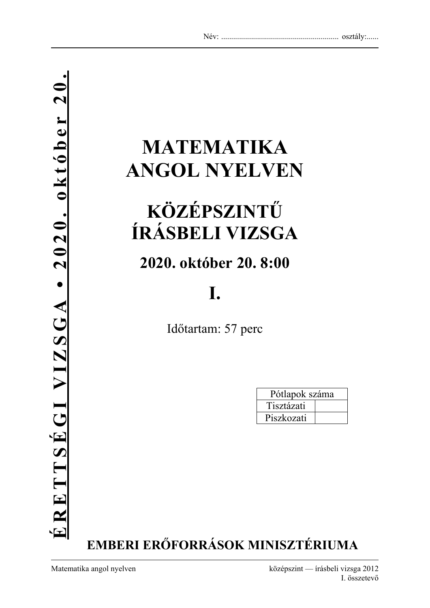# **MATEMATIKA ANGOL NYELVEN**

## **KÖZÉPSZINTŰ ÍRÁSBELI VIZSGA**

### **2020. október 20. 8:00**

## **I.**

Időtartam: 57 perc

| Pótlapok száma |  |
|----------------|--|
| Tisztázati     |  |
| Piszkozati     |  |

**EMBERI ERŐFORRÁSOK MINISZTÉRIUMA**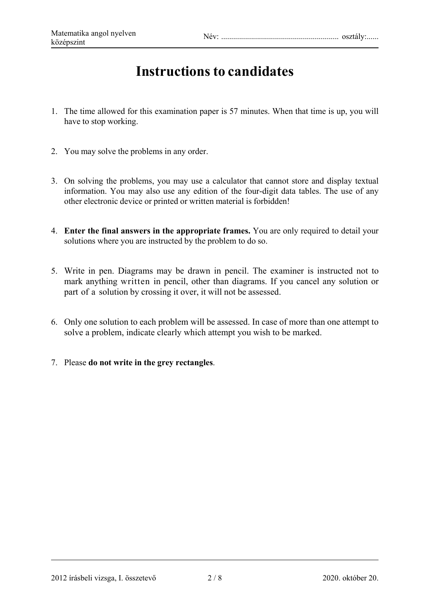### **Instructions to candidates**

- 1. The time allowed for this examination paper is 57 minutes. When that time is up, you will have to stop working.
- 2. You may solve the problems in any order.
- 3. On solving the problems, you may use a calculator that cannot store and display textual information. You may also use any edition of the four-digit data tables. The use of any other electronic device or printed or written material is forbidden!
- 4. **Enter the final answers in the appropriate frames.** You are only required to detail your solutions where you are instructed by the problem to do so.
- 5. Write in pen. Diagrams may be drawn in pencil. The examiner is instructed not to mark anything written in pencil, other than diagrams. If you cancel any solution or part of a solution by crossing it over, it will not be assessed.
- 6. Only one solution to each problem will be assessed. In case of more than one attempt to solve a problem, indicate clearly which attempt you wish to be marked.
- 7. Please **do not write in the grey rectangles**.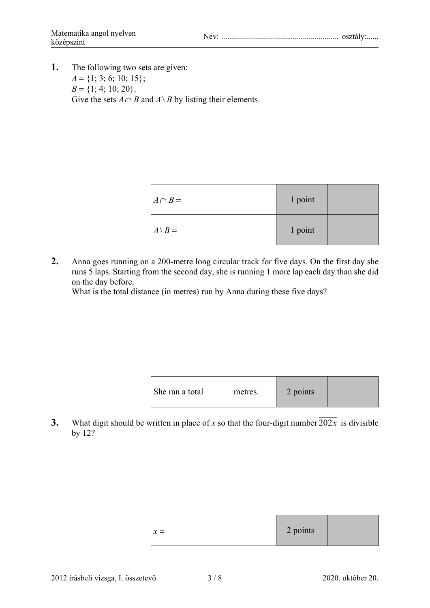**1.** The following two sets are given:  $A = \{1; 3; 6; 10; 15\};$  $B = \{1; 4; 10; 20\}.$ Give the sets  $A \cap B$  and  $A \setminus B$  by listing their elements.

| $A \cap B =$      | 1 point |  |
|-------------------|---------|--|
| $A \setminus B =$ | 1 point |  |

**2.** Anna goes running on a 200-metre long circular track for five days. On the first day she runs 5 laps. Starting from the second day, she is running 1 more lap each day than she did on the day before.

What is the total distance (in metres) run by Anna during these five days?

| She ran a total | metres. | 2 points |  |
|-----------------|---------|----------|--|
|-----------------|---------|----------|--|

**3.** What digit should be written in place of *x* so that the four-digit number  $\overline{202x}$  is divisible by 12?

| $x =$ | 2 points |  |
|-------|----------|--|
|-------|----------|--|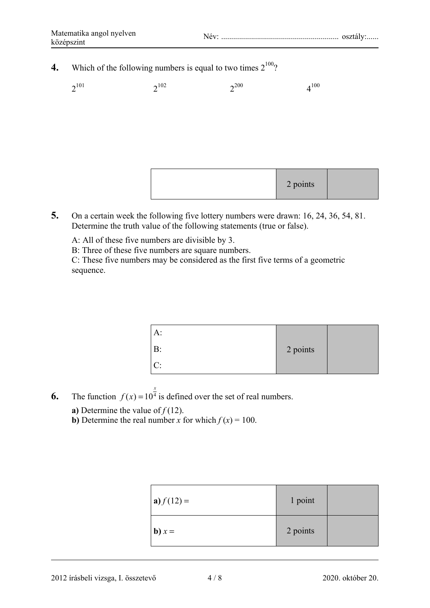**4.** Which of the following numbers is equal to two times  $2^{100}$ ?

| $2^{101}$ | $2^{102}$ | $2^{200}$ | $4^{100}$ |  |
|-----------|-----------|-----------|-----------|--|
|           |           |           |           |  |
|           |           |           |           |  |
|           |           |           |           |  |
|           |           |           |           |  |
|           |           |           | 2 points  |  |

**5.** On a certain week the following five lottery numbers were drawn: 16, 24, 36, 54, 81. Determine the truth value of the following statements (true or false).

A: All of these five numbers are divisible by 3. B: Three of these five numbers are square numbers.

C: These five numbers may be considered as the first five terms of a geometric sequence.

| A: |          |  |
|----|----------|--|
| B: | 2 points |  |
| Ċ: |          |  |

- **6.** The function  $f(x) = 10^{\frac{x}{4}}$  $f(x) = 10<sup>4</sup>$  is defined over the set of real numbers.
	- **a**) Determine the value of  $f(12)$ .
	- **b**) Determine the real number *x* for which  $f(x) = 100$ .

| <b>a</b> ) $f(12) =$ | 1 point  |  |
|----------------------|----------|--|
| <b>b</b> ) $x =$     | 2 points |  |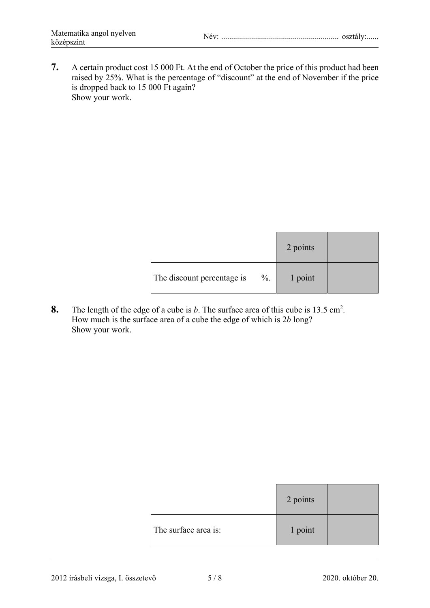**7.** A certain product cost 15 000 Ft. At the end of October the price of this product had been raised by 25%. What is the percentage of "discount" at the end of November if the price is dropped back to 15 000 Ft again? Show your work.

|                            |        | 2 points |  |
|----------------------------|--------|----------|--|
| The discount percentage is | $\%$ . | 1 point  |  |

**8.** The length of the edge of a cube is *b*. The surface area of this cube is 13.5 cm<sup>2</sup>. How much is the surface area of a cube the edge of which is 2*b* long? Show your work.

|                      | 2 points |  |
|----------------------|----------|--|
| The surface area is: | 1 point  |  |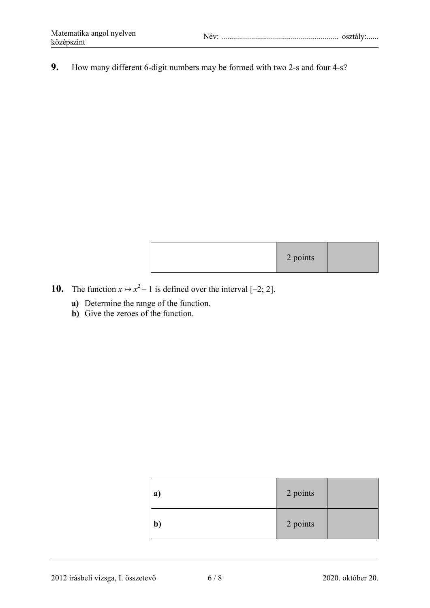**9.** How many different 6-digit numbers may be formed with two 2-s and four 4-s?

| 2 points |
|----------|
|----------|

- **10.** The function  $x \mapsto x^2 1$  is defined over the interval [-2; 2].
	- **a)** Determine the range of the function.
	- **b**) Give the zeroes of the function.

| $\bf{a}$     | 2 points |  |
|--------------|----------|--|
| $\mathbf{b}$ | 2 points |  |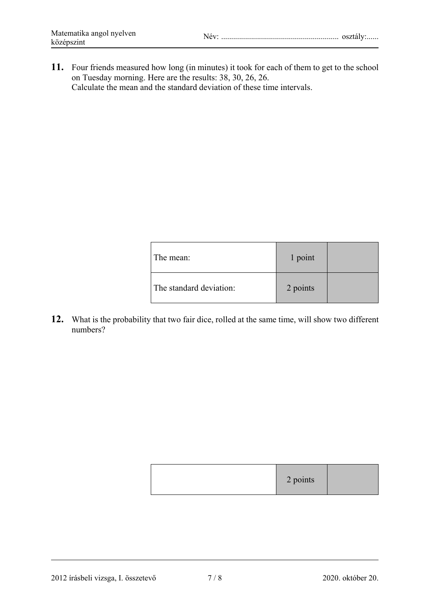**11.** Four friends measured how long (in minutes) it took for each of them to get to the school on Tuesday morning. Here are the results: 38, 30, 26, 26. Calculate the mean and the standard deviation of these time intervals.

| The mean:               | 1 point  |  |
|-------------------------|----------|--|
| The standard deviation: | 2 points |  |

**12.** What is the probability that two fair dice, rolled at the same time, will show two different numbers?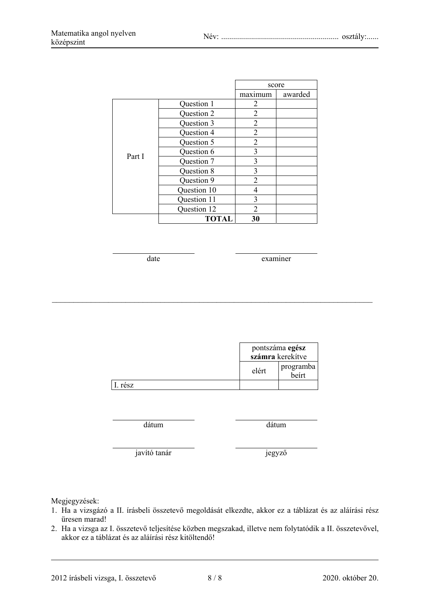|        | score        |                |         |
|--------|--------------|----------------|---------|
|        |              | maximum        | awarded |
|        | Question 1   | 2              |         |
|        | Question 2   | $\overline{2}$ |         |
|        | Question 3   | 2              |         |
|        | Question 4   | 2              |         |
|        | Question 5   | 2              |         |
| Part I | Question 6   | 3              |         |
|        | Question 7   | 3              |         |
|        | Question 8   | 3              |         |
|        | Question 9   | $\overline{2}$ |         |
|        | Question 10  | 4              |         |
|        | Question 11  | 3              |         |
|        | Question 12  | $\overline{2}$ |         |
|        | <b>TOTAL</b> | 30             |         |

date examiner

|         | pontszáma egész<br>számra kerekítve |                    |
|---------|-------------------------------------|--------------------|
|         | elért                               | programba<br>beirt |
| I. rész |                                     |                    |

dátum dátum

javító tanár jegyző

Megjegyzések:

- 1. Ha a vizsgázó a II. írásbeli összetevő megoldását elkezdte, akkor ez a táblázat és az aláírási rész üresen marad!
- 2. Ha a vizsga az I. összetevő teljesítése közben megszakad, illetve nem folytatódik a II. összetevővel, akkor ez a táblázat és az aláírási rész kitöltendő!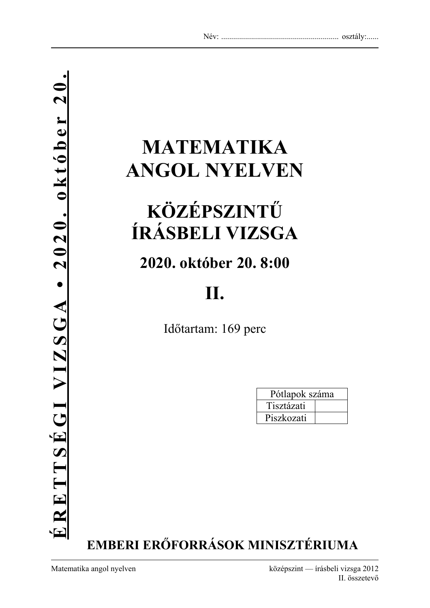# **MATEMATIKA ANGOL NYELVEN**

## **KÖZÉPSZINTŰ ÍRÁSBELI VIZSGA**

### **2020. október 20. 8:00**

## **II.**

Időtartam: 169 perc

| Pótlapok száma |  |  |
|----------------|--|--|
| Tisztázati     |  |  |
| Piszkozati     |  |  |

**EMBERI ERŐFORRÁSOK MINISZTÉRIUMA**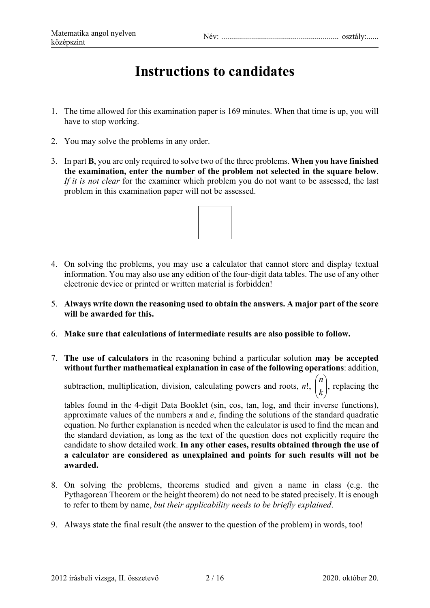### **Instructions to candidates**

- 1. The time allowed for this examination paper is 169 minutes. When that time is up, you will have to stop working.
- 2. You may solve the problems in any order.
- 3. In part **B**, you are only required to solve two of the three problems. **When you have finished the examination, enter the number of the problem not selected in the square below**. *If it is not clear* for the examiner which problem you do not want to be assessed, the last problem in this examination paper will not be assessed.



- 4. On solving the problems, you may use a calculator that cannot store and display textual information. You may also use any edition of the four-digit data tables. The use of any other electronic device or printed or written material is forbidden!
- 5. **Always write down the reasoning used to obtain the answers. A major part of the score will be awarded for this.**
- 6. **Make sure that calculations of intermediate results are also possible to follow.**
- 7. **The use of calculators** in the reasoning behind a particular solution **may be accepted without further mathematical explanation in case of the following operations**: addition,

subtraction, multiplication, division, calculating powers and roots,  $n!$ ,  $\begin{bmatrix} n \\ k \end{bmatrix}$  $\int$  $\setminus$  $\overline{\phantom{a}}$  $\overline{\mathcal{L}}$ ſ *k n* , replacing the

tables found in the 4-digit Data Booklet (sin, cos, tan, log, and their inverse functions), approximate values of the numbers  $\pi$  and  $e$ , finding the solutions of the standard quadratic equation. No further explanation is needed when the calculator is used to find the mean and the standard deviation, as long as the text of the question does not explicitly require the candidate to show detailed work. **In any other cases, results obtained through the use of a calculator are considered as unexplained and points for such results will not be awarded.** 

- 8. On solving the problems, theorems studied and given a name in class (e.g. the Pythagorean Theorem or the height theorem) do not need to be stated precisely. It is enough to refer to them by name, *but their applicability needs to be briefly explained*.
- 9. Always state the final result (the answer to the question of the problem) in words, too!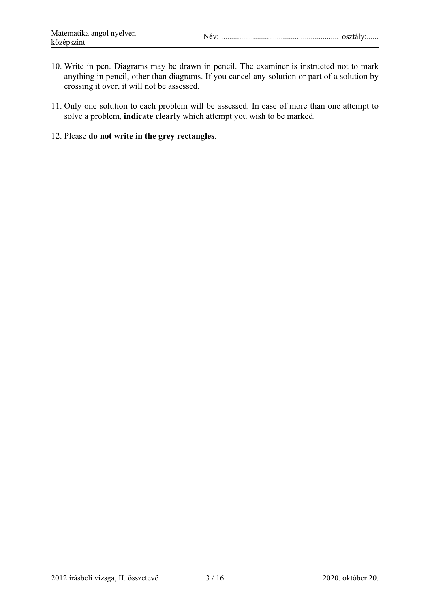- 10. Write in pen. Diagrams may be drawn in pencil. The examiner is instructed not to mark anything in pencil, other than diagrams. If you cancel any solution or part of a solution by crossing it over, it will not be assessed.
- 11. Only one solution to each problem will be assessed. In case of more than one attempt to solve a problem, **indicate clearly** which attempt you wish to be marked.
- 12. Please **do not write in the grey rectangles**.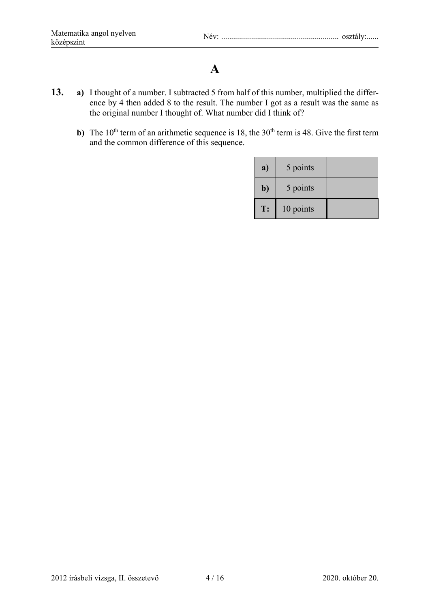#### **A**

- **13. a)** I thought of a number. I subtracted 5 from half of this number, multiplied the difference by 4 then added 8 to the result. The number I got as a result was the same as the original number I thought of. What number did I think of?
	- **b)** The  $10<sup>th</sup>$  term of an arithmetic sequence is 18, the  $30<sup>th</sup>$  term is 48. Give the first term and the common difference of this sequence.

| a)           | 5 points  |  |
|--------------|-----------|--|
| $\mathbf{b}$ | 5 points  |  |
| T:           | 10 points |  |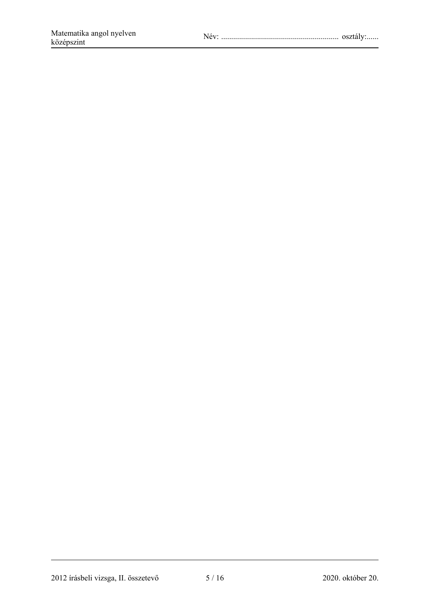2012 írásbeli vizsga, II. összetevő 5 / 16 2020. október 20.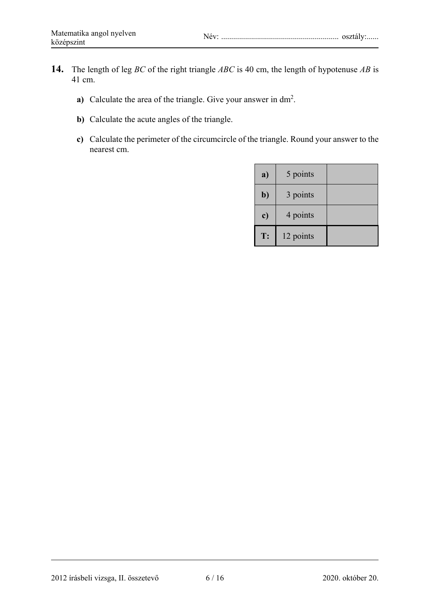- **14.** The length of leg *BC* of the right triangle *ABC* is 40 cm, the length of hypotenuse *AB* is 41 cm.
	- a) Calculate the area of the triangle. Give your answer in dm<sup>2</sup>.
	- **b)** Calculate the acute angles of the triangle.
	- **c)** Calculate the perimeter of the circumcircle of the triangle. Round your answer to the nearest cm.

| a)           | 5 points  |  |
|--------------|-----------|--|
| $\mathbf{b}$ | 3 points  |  |
| c)           | 4 points  |  |
| T:           | 12 points |  |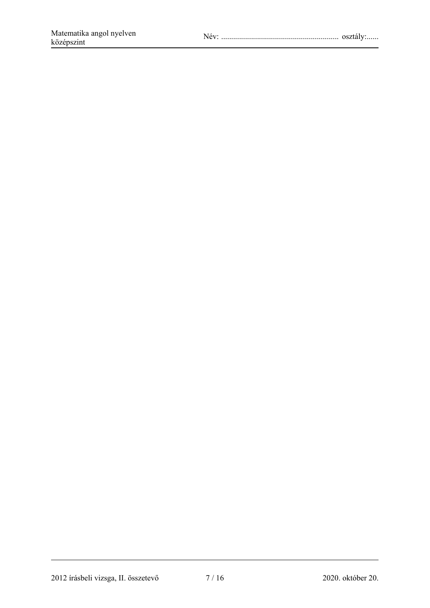2012 írásbeli vizsga, II. összetevő 7 / 16 2020. október 20.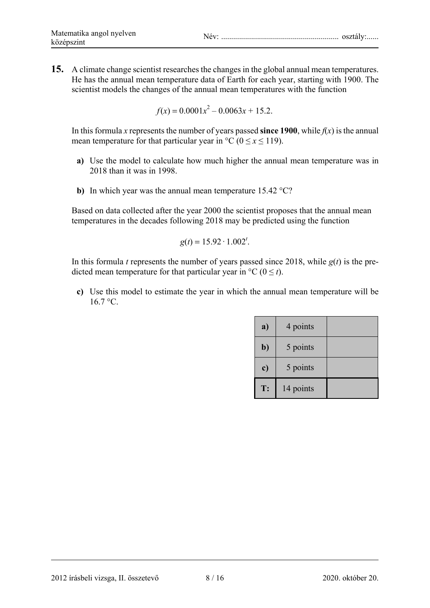**15.** A climate change scientist researches the changes in the global annual mean temperatures. He has the annual mean temperature data of Earth for each year, starting with 1900. The scientist models the changes of the annual mean temperatures with the function

$$
f(x) = 0.0001x^2 - 0.0063x + 15.2.
$$

In this formula *x* represents the number of years passed **since 1900**, while  $f(x)$  is the annual mean temperature for that particular year in  $\mathrm{C}$  ( $0 \le x \le 119$ ).

- **a)** Use the model to calculate how much higher the annual mean temperature was in 2018 than it was in 1998.
- **b**) In which year was the annual mean temperature 15.42 °C?

Based on data collected after the year 2000 the scientist proposes that the annual mean temperatures in the decades following 2018 may be predicted using the function

$$
g(t) = 15.92 \cdot 1.002^{t}.
$$

In this formula *t* represents the number of years passed since 2018, while  $g(t)$  is the predicted mean temperature for that particular year in  ${}^{\circ}C$  ( $0 \le t$ ).

**c)** Use this model to estimate the year in which the annual mean temperature will be  $16.7 °C$ .

| a) | 4 points  |  |
|----|-----------|--|
| b) | 5 points  |  |
| c) | 5 points  |  |
| T: | 14 points |  |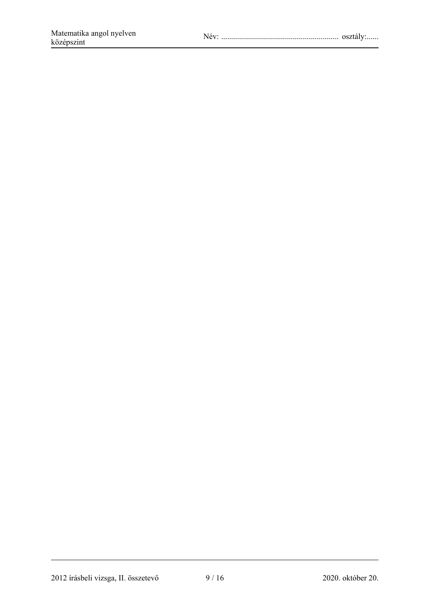2012 írásbeli vizsga, II. összetevő 9 / 16 2020. október 20.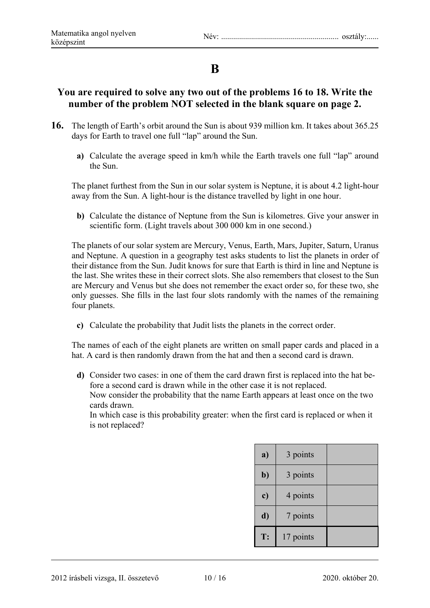#### **B**

#### **You are required to solve any two out of the problems 16 to 18. Write the number of the problem NOT selected in the blank square on page 2.**

- **16.** The length of Earth's orbit around the Sun is about 939 million km. It takes about 365.25 days for Earth to travel one full "lap" around the Sun.
	- **a)** Calculate the average speed in km/h while the Earth travels one full "lap" around the Sun.

The planet furthest from the Sun in our solar system is Neptune, it is about 4.2 light-hour away from the Sun. A light-hour is the distance travelled by light in one hour.

**b)** Calculate the distance of Neptune from the Sun is kilometres. Give your answer in scientific form. (Light travels about 300 000 km in one second.)

The planets of our solar system are Mercury, Venus, Earth, Mars, Jupiter, Saturn, Uranus and Neptune. A question in a geography test asks students to list the planets in order of their distance from the Sun. Judit knows for sure that Earth is third in line and Neptune is the last. She writes these in their correct slots. She also remembers that closest to the Sun are Mercury and Venus but she does not remember the exact order so, for these two, she only guesses. She fills in the last four slots randomly with the names of the remaining four planets.

**c)** Calculate the probability that Judit lists the planets in the correct order.

The names of each of the eight planets are written on small paper cards and placed in a hat. A card is then randomly drawn from the hat and then a second card is drawn.

**d)** Consider two cases: in one of them the card drawn first is replaced into the hat before a second card is drawn while in the other case it is not replaced. Now consider the probability that the name Earth appears at least once on the two cards drawn.

In which case is this probability greater: when the first card is replaced or when it is not replaced?

| a)  | 3 points  |  |
|-----|-----------|--|
| $b$ | 3 points  |  |
| c)  | 4 points  |  |
| d)  | 7 points  |  |
| T:  | 17 points |  |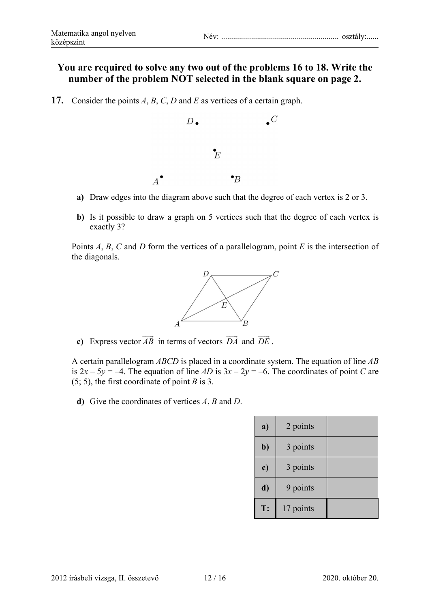#### **You are required to solve any two out of the problems 16 to 18. Write the number of the problem NOT selected in the blank square on page 2.**

**17.** Consider the points *A*, *B*, *C*, *D* and *E* as vertices of a certain graph.



- **a)** Draw edges into the diagram above such that the degree of each vertex is 2 or 3.
- **b**) Is it possible to draw a graph on 5 vertices such that the degree of each vertex is exactly 3?

Points *A*, *B*, *C* and *D* form the vertices of a parallelogram, point *E* is the intersection of the diagonals.



**c)** Express vector *AB*  $\overline{\phantom{a}}$  in terms of vectors *DA*  $\overline{\phantom{a}}$ and  $\overrightarrow{DE}$ .

A certain parallelogram *ABCD* is placed in a coordinate system. The equation of line *AB* is  $2x - 5y = -4$ . The equation of line *AD* is  $3x - 2y = -6$ . The coordinates of point *C* are (5; 5), the first coordinate of point *B* is 3.

**d)** Give the coordinates of vertices *A*, *B* and *D*.

| a) | 2 points  |  |
|----|-----------|--|
| b) | 3 points  |  |
| c) | 3 points  |  |
| d) | 9 points  |  |
| T: | 17 points |  |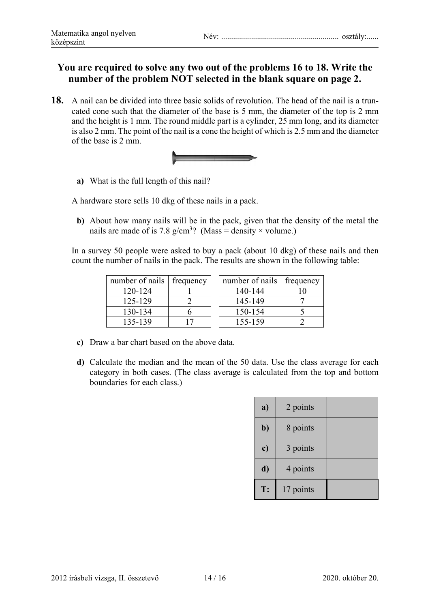#### **You are required to solve any two out of the problems 16 to 18. Write the number of the problem NOT selected in the blank square on page 2.**

**18.** A nail can be divided into three basic solids of revolution. The head of the nail is a truncated cone such that the diameter of the base is 5 mm, the diameter of the top is 2 mm and the height is 1 mm. The round middle part is a cylinder, 25 mm long, and its diameter is also 2 mm. The point of the nail is a cone the height of which is 2.5 mm and the diameter of the base is 2 mm.



**a)** What is the full length of this nail?

A hardware store sells 10 dkg of these nails in a pack.

**b)** About how many nails will be in the pack, given that the density of the metal the nails are made of is 7.8  $g/cm<sup>3</sup>$ ? (Mass = density × volume.)

In a survey 50 people were asked to buy a pack (about 10 dkg) of these nails and then count the number of nails in the pack. The results are shown in the following table:

| number of nails | frequency | number of nails | frequency |
|-----------------|-----------|-----------------|-----------|
| 120-124         |           | 140-144         |           |
| 125-129         |           | 145-149         |           |
| 130-134         |           | 150-154         |           |
| 135-139         |           | 155-159         |           |

- **c)** Draw a bar chart based on the above data.
- **d)** Calculate the median and the mean of the 50 data. Use the class average for each category in both cases. (The class average is calculated from the top and bottom boundaries for each class.)

| a)            | 2 points  |  |
|---------------|-----------|--|
| b)            | 8 points  |  |
| $\mathbf{c})$ | 3 points  |  |
| d)            | 4 points  |  |
| T:            | 17 points |  |